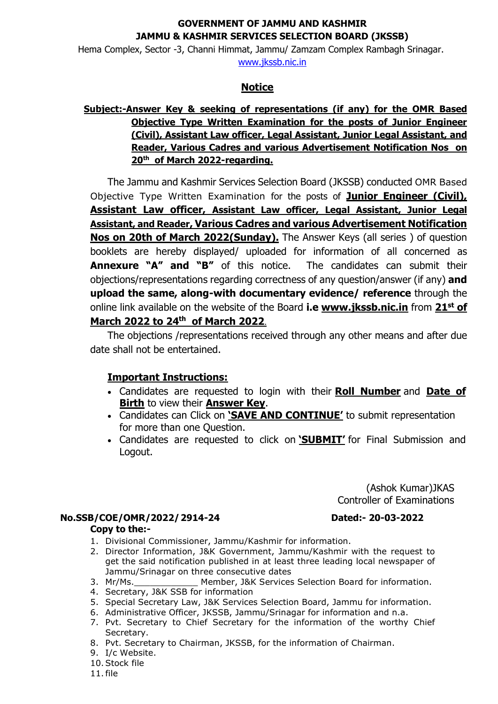## **GOVERNMENT OF JAMMU AND KASHMIR JAMMU & KASHMIR SERVICES SELECTION BOARD (JKSSB)**

Hema Complex, Sector -3, Channi Himmat, Jammu/ Zamzam Complex Rambagh Srinagar. [www.jkssb.nic.in](http://www.jkssb.nic.in/)

#### **Notice**

# **Subject:-Answer Key & seeking of representations (if any) for the OMR Based Objective Type Written Examination for the posts of Junior Engineer (Civil), Assistant Law officer, Legal Assistant, Junior Legal Assistant, and Reader, Various Cadres and various Advertisement Notification Nos on 20th of March 2022-regarding.**

The Jammu and Kashmir Services Selection Board (JKSSB) conducted OMR Based Objective Type Written Examination for the posts of **Junior Engineer (Civil), Assistant Law officer, Assistant Law officer, Legal Assistant, Junior Legal Assistant, and Reader, Various Cadres and various Advertisement Notification Nos on 20th of March 2022(Sunday).** The Answer Keys (all series ) of question booklets are hereby displayed/ uploaded for information of all concerned as **Annexure "A" and "B"** of this notice. The candidates can submit their objections/representations regarding correctness of any question/answer (if any) **and upload the same, along-with documentary evidence/ reference** through the online link available on the website of the Board **i.e [www.jkssb.nic.in](http://www.jkssb.nic.in/)** from **21st of March 2022 to 24th of March 2022**.

The objections /representations received through any other means and after due date shall not be entertained.

# **Important Instructions:**

- Candidates are requested to login with their **Roll Number** and **Date of Birth** to view their **Answer Key**.
- Candidates can Click on **'SAVE AND CONTINUE'** to submit representation for more than one Question.
- Candidates are requested to click on **'SUBMIT'** for Final Submission and Logout.

(Ashok Kumar)JKAS Controller of Examinations

## **No.SSB/COE/OMR/2022/2914-24 Dated:- 20-03-2022 Copy to the:-**

- 
- 1. Divisional Commissioner, Jammu/Kashmir for information. 2. Director Information, J&K Government, Jammu/Kashmir with the request to
- get the said notification published in at least three leading local newspaper of Jammu/Srinagar on three consecutive dates<br>Member, J&K Services
- Member, J&K Services Selection Board for information.
- 4. Secretary, J&K SSB for information
- 5. Special Secretary Law, J&K Services Selection Board, Jammu for information.
- 6. Administrative Officer, JKSSB, Jammu/Srinagar for information and n.a.
- 7. Pvt. Secretary to Chief Secretary for the information of the worthy Chief Secretary.
- 8. Pvt. Secretary to Chairman, JKSSB, for the information of Chairman.
- 9. I/c Website.
- 10.Stock file

11.file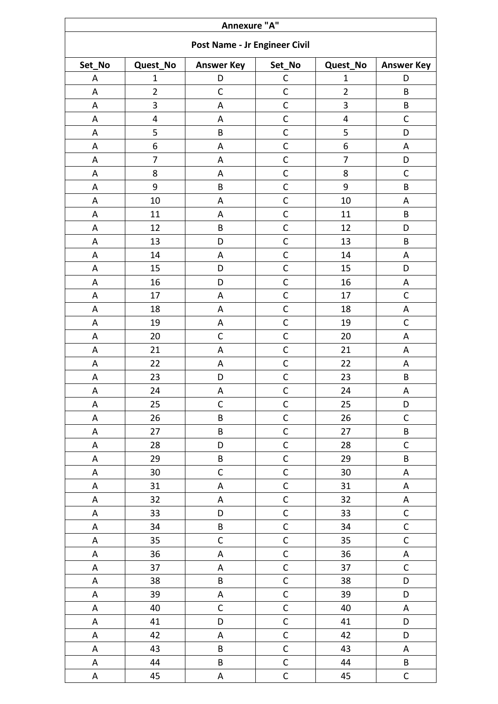| Annexure "A" |                         |                               |                |                |                           |  |
|--------------|-------------------------|-------------------------------|----------------|----------------|---------------------------|--|
|              |                         | Post Name - Jr Engineer Civil |                |                |                           |  |
| Set_No       | Quest_No                | <b>Answer Key</b>             | Set_No         | Quest_No       | <b>Answer Key</b>         |  |
| А            | $\mathbf 1$             | D                             | C              | $\mathbf{1}$   | D                         |  |
| A            | $\overline{2}$          | $\mathsf{C}$                  | $\mathsf{C}$   | $\overline{2}$ | B                         |  |
| A            | 3                       | A                             | $\mathsf{C}$   | 3              | $\sf{B}$                  |  |
| A            | $\overline{\mathbf{4}}$ | A                             | $\mathsf{C}$   | 4              | $\mathsf C$               |  |
| A            | 5                       | B                             | $\mathsf{C}$   | 5              | D                         |  |
| A            | 6                       | $\mathsf A$                   | $\mathsf{C}$   | 6              | $\boldsymbol{\mathsf{A}}$ |  |
| A            | $\overline{7}$          | A                             | $\mathsf{C}$   | $\overline{7}$ | D                         |  |
| А            | 8                       | A                             | $\mathsf{C}$   | 8              | $\mathsf{C}$              |  |
| A            | 9                       | B                             | $\mathsf{C}$   | 9              | B                         |  |
| A            | 10                      | A                             | $\mathsf{C}$   | 10             | A                         |  |
| A            | 11                      | A                             | $\mathsf{C}$   | 11             | B                         |  |
| A            | 12                      | B                             | $\mathsf C$    | 12             | D                         |  |
| А            | 13                      | D                             | $\mathsf{C}$   | 13             | B                         |  |
| A            | 14                      | A                             | $\mathsf{C}$   | 14             | $\boldsymbol{\mathsf{A}}$ |  |
| A            | 15                      | D                             | $\mathsf{C}$   | 15             | D                         |  |
| A            | 16                      | D                             | $\mathsf{C}$   | 16             | $\boldsymbol{\mathsf{A}}$ |  |
| A            | 17                      | A                             | $\mathsf{C}$   | 17             | $\mathsf C$               |  |
| A            | 18                      | A                             | $\mathsf{C}$   | 18             | $\sf A$                   |  |
| A            | 19                      | A                             | $\mathsf{C}$   | 19             | $\mathsf{C}$              |  |
| A            | 20                      | $\mathsf C$                   | $\mathsf{C}$   | 20             | A                         |  |
| A            | 21                      | A                             | $\mathsf{C}$   | 21             | $\sf A$                   |  |
| A            | 22                      | A                             | $\mathsf{C}$   | 22             | $\sf A$                   |  |
| A            | 23                      | D                             | $\mathsf{C}$   | 23             | $\sf B$                   |  |
| A            | 24                      | A                             | $\mathsf{C}$   | 24             | A                         |  |
| A            | 25                      | $\mathsf C$                   | $\mathsf C$    | 25             | D                         |  |
| A            | 26                      | $\sf B$                       | $\mathsf C$    | 26             | $\mathsf C$               |  |
| A            | 27                      | $\sf B$                       | $\mathsf{C}$   | 27             | $\sf B$                   |  |
| Α            | 28                      | D                             | $\mathsf{C}$   | 28             | $\mathsf C$               |  |
| A            | 29                      | B                             | $\mathsf{C}$   | 29             | B                         |  |
| A            | 30                      | $\mathsf{C}$                  | $\overline{C}$ | $30\,$         | $\mathsf A$               |  |
| A            | 31                      | $\mathsf A$                   | $\mathsf{C}$   | 31             | ${\sf A}$                 |  |
| A            | 32                      | $\boldsymbol{\mathsf{A}}$     | $\mathsf{C}$   | 32             | $\boldsymbol{\mathsf{A}}$ |  |
| A            | 33                      | D                             | $\mathsf{C}$   | 33             | $\mathsf C$               |  |
| A            | 34                      | $\sf B$                       | $\mathsf{C}$   | 34             | $\overline{C}$            |  |
| A            | 35                      | $\mathsf{C}$                  | $\overline{C}$ | 35             | $\mathsf{C}$              |  |
| A            | 36                      | $\mathsf A$                   | $\mathsf{C}$   | 36             | $\mathsf A$               |  |
| A            | 37                      | $\sf A$                       | $\mathsf{C}$   | 37             | $\mathsf C$               |  |
| A            | 38                      | B                             | $\overline{C}$ | 38             | D                         |  |
| Α            | 39                      | $\mathsf A$                   | $\mathsf{C}$   | 39             | D                         |  |
| A            | 40                      | $\mathsf{C}$                  | $\mathsf{C}$   | 40             | $\mathsf A$               |  |
| A            | 41                      | D                             | $\mathsf{C}$   | 41             | D                         |  |
| A            | 42                      | A                             | $\mathsf{C}$   | 42             | D                         |  |
| A            | 43                      | B                             | $\mathsf C$    | 43             | $\mathsf A$               |  |
| A            | 44                      | $\sf B$                       | $\mathsf{C}$   | 44             | B                         |  |
| A            | 45                      | $\mathsf A$                   | $\mathsf{C}$   | 45             | $\mathsf{C}$              |  |
|              |                         |                               |                |                |                           |  |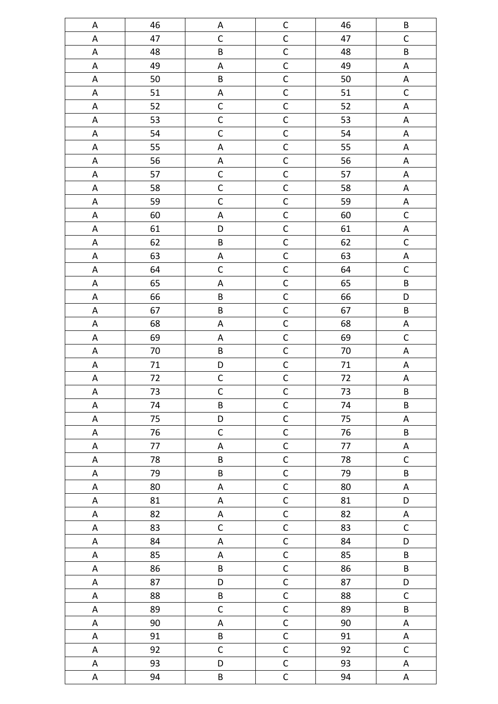| A                         | 46 | $\mathsf A$               | $\mathsf C$  | 46      | $\sf B$                   |
|---------------------------|----|---------------------------|--------------|---------|---------------------------|
| $\mathsf A$               | 47 | $\mathsf C$               | $\mathsf{C}$ | 47      | $\mathsf C$               |
| $\sf A$                   | 48 | B                         | $\mathsf{C}$ | 48      | $\sf B$                   |
| $\mathsf A$               | 49 | $\mathsf A$               | $\mathsf{C}$ | 49      | $\boldsymbol{\mathsf{A}}$ |
| $\mathsf A$               | 50 | $\sf B$                   | $\mathsf{C}$ | 50      | $\mathsf A$               |
| $\mathsf A$               | 51 | $\boldsymbol{\mathsf{A}}$ | $\mathsf{C}$ | 51      | $\mathsf C$               |
| $\mathsf A$               | 52 | $\mathsf C$               | $\mathsf{C}$ | 52      | A                         |
| $\mathsf A$               | 53 | $\mathsf C$               | $\mathsf{C}$ | 53      | $\boldsymbol{\mathsf{A}}$ |
| $\boldsymbol{\mathsf{A}}$ | 54 | $\mathsf C$               | $\mathsf{C}$ | 54      | $\boldsymbol{\mathsf{A}}$ |
| $\mathsf A$               | 55 | $\sf A$                   | $\mathsf{C}$ | 55      | $\boldsymbol{\mathsf{A}}$ |
| $\mathsf A$               | 56 | $\mathsf A$               | $\mathsf{C}$ | 56      | $\mathsf A$               |
| $\mathsf A$               | 57 | $\mathsf{C}$              | $\mathsf{C}$ | 57      | $\sf A$                   |
| $\mathsf A$               | 58 | $\mathsf{C}$              | $\mathsf{C}$ | 58      | ${\sf A}$                 |
| $\mathsf A$               | 59 | $\mathsf C$               | $\mathsf{C}$ | 59      | $\boldsymbol{\mathsf{A}}$ |
| $\mathsf A$               | 60 | $\mathsf A$               | $\mathsf C$  | 60      | $\mathsf C$               |
| $\mathsf A$               | 61 | $\mathsf D$               | $\mathsf{C}$ | 61      | $\boldsymbol{\mathsf{A}}$ |
| $\mathsf A$               | 62 | $\sf B$                   | $\mathsf{C}$ | 62      | $\mathsf C$               |
| $\mathsf A$               | 63 | $\mathsf A$               | $\mathsf C$  | 63      | $\boldsymbol{\mathsf{A}}$ |
| $\mathsf A$               | 64 | $\mathsf C$               | $\mathsf{C}$ | 64      | $\mathsf C$               |
| $\mathsf A$               | 65 | $\mathsf A$               | $\mathsf C$  | 65      | $\sf B$                   |
| $\mathsf A$               | 66 | $\sf B$                   | $\mathsf C$  | 66      | D                         |
| $\mathsf A$               | 67 | $\sf B$                   | $\mathsf{C}$ | 67      | $\sf B$                   |
| $\mathsf A$               | 68 | $\boldsymbol{\mathsf{A}}$ | $\mathsf{C}$ | 68      | $\boldsymbol{\mathsf{A}}$ |
| $\mathsf A$               | 69 | $\mathsf A$               | $\mathsf{C}$ | 69      | $\mathsf C$               |
| $\mathsf A$               | 70 | $\sf B$                   | $\mathsf{C}$ | 70      | A                         |
| A                         | 71 | $\mathsf D$               | $\mathsf C$  | 71      | A                         |
| $\boldsymbol{\mathsf{A}}$ | 72 | $\mathsf C$               | $\mathsf{C}$ | 72      | A                         |
| $\mathsf A$               | 73 | $\mathsf{C}$              | $\mathsf{C}$ | 73      | $\sf B$                   |
| A                         | 74 | B                         | $\mathsf{C}$ | 74      | $\sf{B}$                  |
| A                         | 75 | D                         | $\mathsf{C}$ | 75      | $\mathsf A$               |
| A                         | 76 | $\mathsf C$               | $\mathsf{C}$ | 76      | $\sf B$                   |
| A                         | 77 | A                         | $\mathsf C$  | $77 \,$ | A                         |
| A                         | 78 | B                         | $\mathsf C$  | 78      | $\mathsf C$               |
| $\mathsf A$               | 79 | B                         | $\mathsf{C}$ | 79      | $\sf B$                   |
| $\mathsf A$               | 80 | $\mathsf A$               | $\mathsf{C}$ | 80      | $\sf A$                   |
| A                         | 81 | A                         | $\mathsf C$  | 81      | D                         |
| A                         | 82 | $\mathsf A$               | $\mathsf{C}$ | 82      | $\mathsf A$               |
| A                         | 83 | $\mathsf C$               | $\mathsf{C}$ | 83      | $\mathsf C$               |
| A                         | 84 | $\mathsf A$               | $\mathsf C$  | 84      | D                         |
| $\mathsf A$               | 85 | $\mathsf A$               | $\mathsf{C}$ | 85      | $\sf{B}$                  |
| A                         | 86 | B                         | $\mathsf{C}$ | 86      | $\sf B$                   |
| A                         | 87 | $\mathsf D$               | $\mathsf C$  | 87      | D                         |
| A                         | 88 | B                         | $\mathsf{C}$ | 88      | $\mathsf{C}$              |
| A                         | 89 | $\mathsf C$               | $\mathsf{C}$ | 89      | $\sf B$                   |
| $\mathsf A$               | 90 | $\mathsf A$               | $\mathsf C$  | 90      | A                         |
| $\mathsf A$               | 91 | B                         | $\mathsf{C}$ | 91      | $\sf A$                   |
| $\mathsf A$               | 92 | $\mathsf C$               | $\mathsf{C}$ | 92      | $\mathsf C$               |
| A                         | 93 | D                         | $\mathsf C$  | 93      | A                         |
| A                         | 94 | $\sf B$                   | $\mathsf{C}$ | 94      | $\mathsf A$               |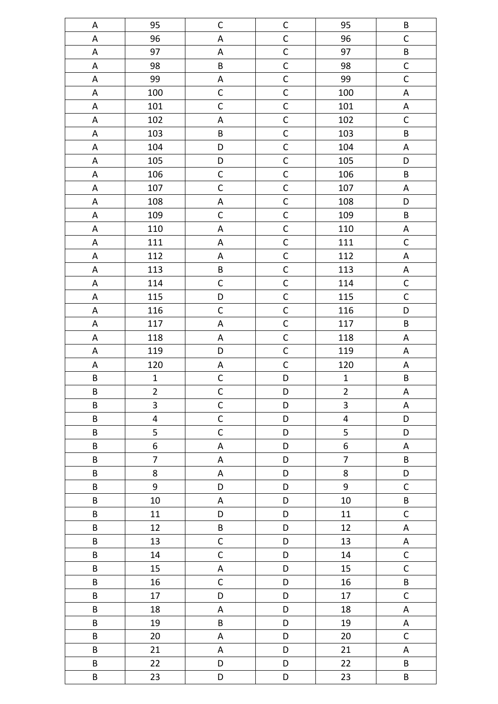| $\mathsf A$               | 95                      | $\mathsf C$               | $\mathsf C$  | 95                      | $\sf B$        |
|---------------------------|-------------------------|---------------------------|--------------|-------------------------|----------------|
| A                         | 96                      | $\mathsf A$               | $\mathsf C$  | 96                      | $\mathsf C$    |
| $\mathsf A$               | 97                      | $\mathsf A$               | $\mathsf C$  | 97                      | $\sf B$        |
| A                         | 98                      | B                         | $\mathsf C$  | 98                      | $\mathsf C$    |
| $\mathsf A$               | 99                      | $\mathsf A$               | $\mathsf C$  | 99                      | $\mathsf C$    |
| $\mathsf A$               | 100                     | $\mathsf C$               | $\mathsf{C}$ | 100                     | $\mathsf A$    |
| $\mathsf A$               | 101                     | $\mathsf C$               | $\mathsf C$  | 101                     | $\mathsf A$    |
| $\mathsf A$               | 102                     | $\mathsf A$               | $\mathsf{C}$ | 102                     | $\mathsf C$    |
| $\mathsf A$               | 103                     | B                         | $\mathsf C$  | 103                     | $\sf B$        |
| $\mathsf A$               | 104                     | D                         | $\mathsf C$  | 104                     | A              |
| $\mathsf A$               | 105                     | D                         | $\mathsf C$  | 105                     | D              |
| $\mathsf A$               | 106                     | $\mathsf C$               | $\mathsf{C}$ | 106                     | $\sf B$        |
| $\mathsf A$               | 107                     | $\mathsf C$               | $\mathsf{C}$ | 107                     | A              |
| $\mathsf A$               | 108                     | $\sf A$                   | $\mathsf{C}$ | 108                     | D              |
| A                         | 109                     | $\mathsf C$               | $\mathsf C$  | 109                     | $\sf B$        |
| $\mathsf A$               | 110                     | $\sf A$                   | $\mathsf C$  | 110                     | $\mathsf A$    |
| $\mathsf A$               | 111                     | $\sf A$                   | $\mathsf{C}$ | 111                     | $\mathsf C$    |
| $\mathsf A$               | 112                     | A                         | $\mathsf C$  | 112                     | $\mathsf A$    |
| $\mathsf A$               | 113                     | $\sf B$                   | $\mathsf{C}$ | 113                     | $\mathsf A$    |
| $\mathsf A$               | 114                     | $\mathsf C$               | $\mathsf{C}$ | 114                     | $\mathsf C$    |
| $\mathsf A$               | 115                     | D                         | $\mathsf C$  | 115                     | $\mathsf C$    |
| $\mathsf A$               | 116                     | $\mathsf C$               | $\mathsf C$  | 116                     | D              |
| $\boldsymbol{\mathsf{A}}$ | 117                     | A                         | $\mathsf C$  | 117                     | $\sf B$        |
| $\boldsymbol{\mathsf{A}}$ | 118                     | Α                         | $\mathsf C$  | 118                     | A              |
| $\mathsf A$               | 119                     | D                         | $\mathsf C$  | 119                     | A              |
| $\mathsf A$               | 120                     | $\sf A$                   | $\mathsf C$  | 120                     | A              |
| B                         | $\mathbf{1}$            | $\mathsf C$               | D            | $\mathbf 1$             | B              |
| B                         | $\overline{2}$          | $\mathsf{C}$              | D            | $\overline{2}$          | A              |
| B                         | $\overline{3}$          | $\overline{C}$            | D            | $\overline{3}$          | A              |
| $\sf B$                   | $\overline{\mathbf{4}}$ | $\mathsf{C}$              | D            | $\overline{\mathbf{4}}$ | $\mathsf D$    |
| $\sf B$                   | 5                       | $\mathsf C$               | D            | 5                       | D              |
| B                         | 6                       | $\mathsf A$               | D            | $\boldsymbol{6}$        | $\mathsf A$    |
| B                         | $\overline{7}$          | $\mathsf A$               | D            | $\overline{7}$          | $\sf B$        |
| B                         | 8                       | A                         | D            | $\bf 8$                 | D              |
| B                         | 9                       | D                         | D            | 9                       | $\mathsf C$    |
| B                         | 10                      | A                         | D            | 10                      | $\sf B$        |
| B                         | $11\,$                  | D                         | D            | 11                      | $\mathsf C$    |
| B                         | 12                      | B                         | D            | 12                      | $\mathsf A$    |
| B                         | 13                      | $\mathsf C$               | D            | 13                      | A              |
| B                         | 14                      | $\mathsf{C}$              | D            | 14                      | $\mathsf C$    |
| B                         | 15                      | $\boldsymbol{\mathsf{A}}$ | D            | $15\,$                  | $\overline{C}$ |
| $\sf B$                   | $16\,$                  | $\mathsf C$               | D            | $16\,$                  | $\sf B$        |
| B                         | 17                      | D                         | D            | 17                      | $\mathsf{C}$   |
| B                         | 18                      | A                         | D            | 18                      | $\sf A$        |
| B                         | 19                      | $\sf{B}$                  | D            | 19                      | $\sf A$        |
| B                         | 20                      | A                         | D            | 20                      | $\mathsf C$    |
| B                         | 21                      | A                         | D            | 21                      | $\mathsf A$    |
| B                         | 22                      | D                         | D            | 22                      | $\sf B$        |
| $\sf{B}$                  | 23                      | D                         | D            | 23                      | $\sf B$        |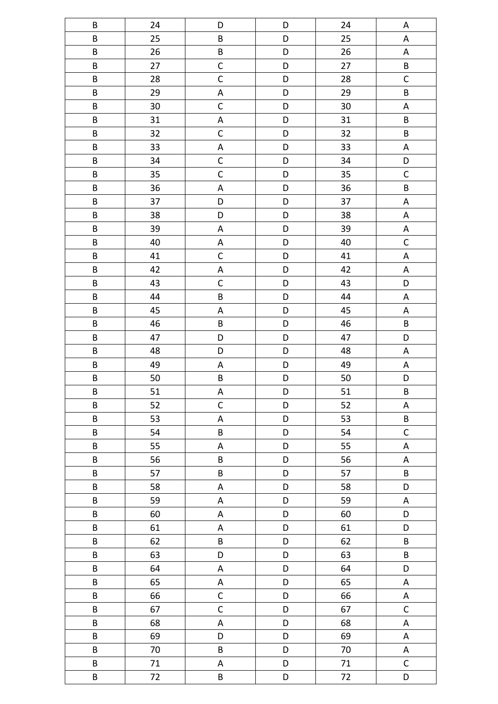| $\sf B$                 | 24     | D                         | D           | 24     | A                         |
|-------------------------|--------|---------------------------|-------------|--------|---------------------------|
| B                       | 25     | $\sf B$                   | D           | 25     | $\mathsf A$               |
| B                       | 26     | $\sf B$                   | D           | 26     | $\boldsymbol{\mathsf{A}}$ |
| $\sf B$                 | 27     | $\mathsf{C}$              | D           | 27     | $\sf B$                   |
| $\sf B$                 | 28     | $\mathsf{C}$              | D           | 28     | $\mathsf C$               |
| $\sf B$                 | 29     | $\boldsymbol{\mathsf{A}}$ | D           | 29     | $\sf B$                   |
| B                       | 30     | $\mathsf C$               | D           | 30     | $\boldsymbol{\mathsf{A}}$ |
| $\sf B$                 | 31     | $\boldsymbol{\mathsf{A}}$ | D           | 31     | $\sf B$                   |
| $\sf B$                 | 32     | $\mathsf C$               | D           | 32     | $\sf B$                   |
| $\overline{B}$          | 33     | $\mathsf A$               | D           | 33     | $\boldsymbol{\mathsf{A}}$ |
| $\sf B$                 | 34     | $\mathsf{C}$              | D           | 34     | D                         |
| $\sf B$                 | 35     | $\mathsf{C}$              | D           | 35     | $\mathsf C$               |
| $\sf B$                 | 36     | $\boldsymbol{\mathsf{A}}$ | D           | 36     | $\sf B$                   |
| B                       | 37     | D                         | D           | 37     | $\boldsymbol{\mathsf{A}}$ |
| $\sf B$                 | 38     | D                         | D           | 38     | $\boldsymbol{\mathsf{A}}$ |
| $\sf B$                 | 39     | $\boldsymbol{\mathsf{A}}$ | D           | 39     | $\boldsymbol{\mathsf{A}}$ |
| $\overline{B}$          | 40     | $\boldsymbol{\mathsf{A}}$ | D           | 40     | $\mathsf C$               |
| $\sf B$                 | 41     | $\mathsf C$               | D           | 41     | $\sf A$                   |
| $\sf B$                 | 42     | $\boldsymbol{\mathsf{A}}$ | D           | 42     | $\sf A$                   |
| $\sf B$                 | 43     | $\mathsf C$               | D           | 43     | D                         |
| $\sf B$                 | 44     | $\sf B$                   | D           | 44     | $\boldsymbol{\mathsf{A}}$ |
| $\sf B$                 | 45     | $\boldsymbol{\mathsf{A}}$ | D           | 45     | $\sf A$                   |
| $\sf B$                 | 46     | B                         | D           | 46     | $\sf B$                   |
| B                       | 47     | D                         | D           | 47     | D                         |
| $\sf B$                 | 48     | D                         | D           | 48     | $\boldsymbol{\mathsf{A}}$ |
| $\sf B$                 | 49     | $\boldsymbol{\mathsf{A}}$ | D           | 49     | A                         |
| $\overline{\mathsf{B}}$ | 50     | B                         | D           | 50     | D                         |
| B                       | 51     | A                         | D           | 51     | $\sf B$                   |
| $\sf B$                 | 52     | $\mathsf{C}$              | D           | 52     | A                         |
| B                       | 53     | $\mathsf A$               | D           | 53     | $\sf{B}$                  |
| B                       | 54     | B                         | D           | 54     | $\mathsf C$               |
| B                       | 55     | A                         | D           | 55     | $\mathsf A$               |
| B                       | 56     | B                         | D           | 56     | $\mathsf A$               |
| B                       | 57     | B                         | D           | 57     | B                         |
| $\sf B$                 | 58     | $\mathsf A$               | D           | 58     | D                         |
| B                       | 59     | A                         | $\mathsf D$ | 59     | A                         |
| B                       | 60     | A                         | D           | 60     | D                         |
| B                       | 61     | A                         | D           | 61     | D                         |
| $\sf B$                 | 62     | B                         | D           | 62     | B                         |
| B                       | 63     | D                         | D           | 63     | B                         |
| B                       | 64     | $\mathsf A$               | D           | 64     | D                         |
| $\sf{B}$                | 65     | $\sf A$                   | D           | 65     | A                         |
| B                       | 66     | $\mathsf{C}$              | D           | 66     | $\mathsf A$               |
| B                       | 67     | $\mathsf C$               | D           | 67     | $\mathsf C$               |
| B                       | 68     | $\mathsf A$               | D           | 68     | $\sf A$                   |
| B                       | 69     | D                         | D           | 69     | $\sf A$                   |
| $\sf{B}$                | 70     | $\sf B$                   | D           | 70     | A                         |
| $\sf B$                 | $71\,$ | A                         | D           | 71     | $\mathsf C$               |
| $\sf B$                 | 72     | $\sf B$                   | D           | $72\,$ | D                         |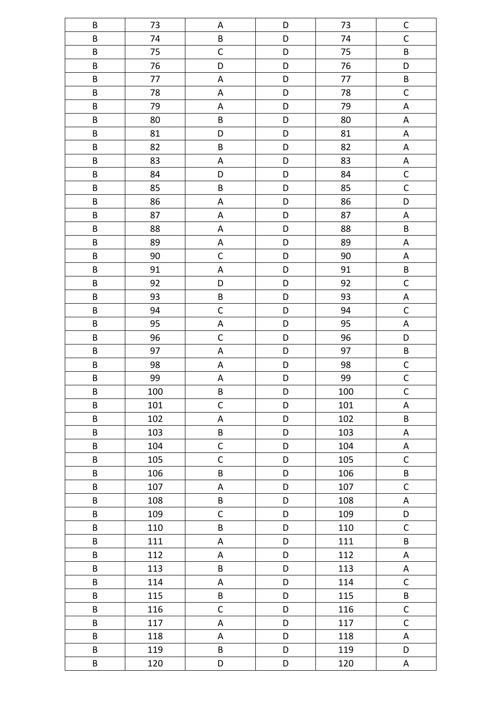| B                       | 73     | A                         | D | 73     | $\mathsf C$               |
|-------------------------|--------|---------------------------|---|--------|---------------------------|
| $\overline{\mathsf{B}}$ | 74     | $\sf B$                   | D | 74     | $\mathsf C$               |
| $\sf B$                 | 75     | $\mathsf{C}$              | D | 75     | $\sf{B}$                  |
| $\sf B$                 | 76     | D                         | D | 76     | D                         |
| $\sf B$                 | 77     | $\boldsymbol{\mathsf{A}}$ | D | 77     | $\sf B$                   |
| $\sf{B}$                | 78     | $\boldsymbol{\mathsf{A}}$ | D | 78     | $\mathsf C$               |
| $\sf B$                 | 79     | $\boldsymbol{\mathsf{A}}$ | D | 79     | $\mathsf A$               |
| $\sf B$                 | 80     | $\sf B$                   | D | 80     | $\mathsf A$               |
| B                       | 81     | D                         | D | 81     | $\sf A$                   |
| $\sf B$                 | 82     | $\sf B$                   | D | 82     | $\mathsf A$               |
| B                       | 83     | $\boldsymbol{\mathsf{A}}$ | D | 83     | $\sf A$                   |
| $\sf B$                 | 84     | D                         | D | 84     | $\mathsf C$               |
| $\sf B$                 | 85     | $\sf B$                   | D | 85     | $\mathsf C$               |
| $\sf B$                 | 86     | $\boldsymbol{\mathsf{A}}$ | D | 86     | D                         |
| $\sf B$                 | 87     | $\boldsymbol{\mathsf{A}}$ | D | 87     | $\boldsymbol{\mathsf{A}}$ |
| $\sf B$                 | 88     | $\mathsf A$               | D | 88     | $\sf B$                   |
| $\sf B$                 | 89     | $\boldsymbol{\mathsf{A}}$ | D | 89     | $\sf A$                   |
| B                       | $90\,$ | $\mathsf C$               | D | $90\,$ | $\sf A$                   |
| $\sf B$                 | 91     | $\boldsymbol{\mathsf{A}}$ | D | 91     | $\sf B$                   |
| $\sf B$                 | 92     | D                         | D | 92     | $\mathsf C$               |
| B                       | 93     | $\sf B$                   | D | 93     | $\boldsymbol{\mathsf{A}}$ |
| $\sf{B}$                | 94     | $\mathsf{C}$              | D | 94     | $\mathsf{C}$              |
| $\sf{B}$                | 95     | $\overline{\mathsf{A}}$   | D | 95     | $\sf A$                   |
| $\sf B$                 | 96     | $\mathsf C$               | D | 96     | D                         |
| B                       | 97     | $\boldsymbol{\mathsf{A}}$ | D | 97     | $\sf B$                   |
| $\overline{\mathsf{B}}$ | 98     | $\boldsymbol{\mathsf{A}}$ | D | 98     | $\mathsf{C}$              |
| $\overline{\mathsf{B}}$ | 99     | $\boldsymbol{\mathsf{A}}$ | D | 99     | $\mathsf{C}$              |
| $\sf B$                 | 100    | $\sf B$                   | D | 100    | $\mathsf C$               |
| B                       | 101    | $\mathsf{C}$              | D | 101    | A                         |
| B                       | 102    | A                         | D | 102    | $\sf B$                   |
| B                       | 103    | B                         | D | 103    | A                         |
| B                       | 104    | $\mathsf{C}$              | D | 104    | A                         |
| B                       | 105    | $\mathsf{C}$              | D | 105    | $\mathsf C$               |
| B                       | 106    | B                         | D | 106    | $\sf{B}$                  |
| B                       | 107    | $\mathsf A$               | D | 107    | $\mathsf{C}$              |
| B                       | 108    | B                         | D | 108    | $\mathsf A$               |
| B                       | 109    | $\mathsf C$               | D | 109    | D                         |
| B                       | 110    | B                         | D | 110    | $\mathsf{C}$              |
| B                       | 111    | $\mathsf A$               | D | 111    | $\sf B$                   |
| B                       | 112    | A                         | D | 112    | A                         |
| B                       | 113    | B                         | D | 113    | A                         |
| B                       | 114    | $\boldsymbol{\mathsf{A}}$ | D | 114    | $\mathsf C$               |
| B                       | 115    | B                         | D | 115    | B                         |
| B                       | 116    | $\mathsf C$               | D | 116    | $\mathsf C$               |
| B                       | 117    | $\boldsymbol{\mathsf{A}}$ | D | 117    | $\mathsf{C}$              |
| B                       | 118    | A                         | D | 118    | $\mathsf A$               |
| B                       | 119    | B                         | D | 119    | D                         |
| B                       | 120    | D                         | D | 120    | A                         |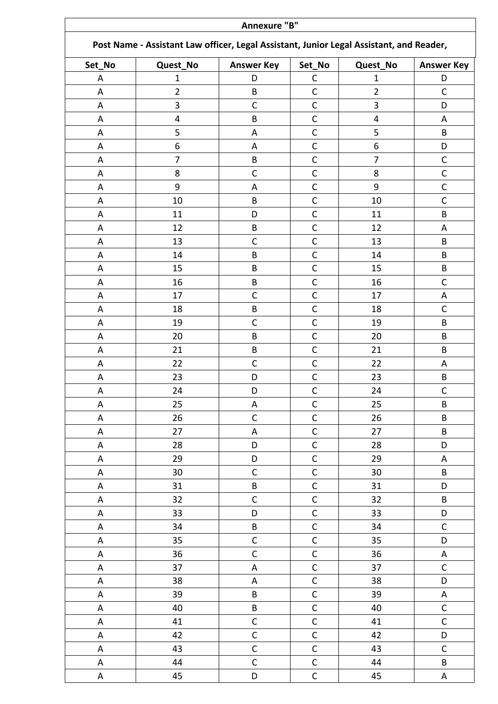|        | Annexure "B"                                                                            |                           |              |                |                   |  |
|--------|-----------------------------------------------------------------------------------------|---------------------------|--------------|----------------|-------------------|--|
|        | Post Name - Assistant Law officer, Legal Assistant, Junior Legal Assistant, and Reader, |                           |              |                |                   |  |
| Set_No | Quest_No                                                                                | <b>Answer Key</b>         | Set_No       | Quest_No       | <b>Answer Key</b> |  |
| A      | $\mathbf{1}$                                                                            | D                         | С            | $\mathbf{1}$   | D                 |  |
| A      | $\overline{2}$                                                                          | B                         | $\mathsf{C}$ | $\overline{2}$ | $\mathsf{C}$      |  |
| A      | 3                                                                                       | $\mathsf C$               | $\mathsf C$  | 3              | D                 |  |
| A      | 4                                                                                       | B                         | $\mathsf{C}$ | 4              | A                 |  |
| A      | 5                                                                                       | A                         | $\mathsf{C}$ | 5              | B                 |  |
| A      | 6                                                                                       | A                         | $\mathsf C$  | 6              | D                 |  |
| A      | $\overline{7}$                                                                          | B                         | $\mathsf C$  | $\overline{7}$ | $\mathsf C$       |  |
| A      | 8                                                                                       | $\mathsf C$               | $\mathsf C$  | 8              | $\mathsf C$       |  |
| Α      | 9                                                                                       | A                         | $\mathsf C$  | 9              | $\mathsf C$       |  |
| A      | 10                                                                                      | B                         | $\mathsf{C}$ | 10             | $\mathsf{C}$      |  |
| A      | 11                                                                                      | D                         | $\mathsf{C}$ | 11             | B                 |  |
| A      | 12                                                                                      | B                         | C            | 12             | A                 |  |
| A      | 13                                                                                      | $\mathsf C$               | $\mathsf C$  | 13             | B                 |  |
| A      | 14                                                                                      | B                         | $\mathsf C$  | 14             | B                 |  |
| A      | 15                                                                                      | B                         | $\mathsf C$  | 15             | B                 |  |
| A      | 16                                                                                      | B                         | $\mathsf{C}$ | 16             | $\mathsf{C}$      |  |
| A      | 17                                                                                      | $\mathsf C$               | $\mathsf{C}$ | 17             | A                 |  |
| A      | 18                                                                                      | B                         | $\mathsf C$  | 18             | $\mathsf C$       |  |
| A      | 19                                                                                      | $\mathsf C$               | $\mathsf C$  | 19             | B                 |  |
| A      | 20                                                                                      | B                         | $\mathsf{C}$ | 20             | B                 |  |
| A      | 21                                                                                      | B                         | $\mathsf C$  | 21             | B                 |  |
| A      | 22                                                                                      | $\mathsf C$               | $\mathsf C$  | 22             | A                 |  |
| A      | 23                                                                                      | D                         | $\mathsf C$  | 23             | B                 |  |
| A      | 24                                                                                      | D                         | $\mathsf C$  | 24             | $\mathsf C$       |  |
| A      | 25                                                                                      | Α                         | $\mathsf C$  | 25             | B                 |  |
| A      | 26                                                                                      | $\mathsf C$               | $\mathsf C$  | 26             | B                 |  |
| A      | 27                                                                                      | A                         | $\mathsf C$  | 27             | B                 |  |
| A      | 28                                                                                      | D                         | $\mathsf C$  | 28             | D                 |  |
| A      | 29                                                                                      | D                         | $\mathsf{C}$ | 29             | $\mathsf A$       |  |
| A      | 30                                                                                      | $\mathsf C$               | $\mathsf C$  | 30             | B                 |  |
| A      | 31                                                                                      | B                         | $\mathsf C$  | 31             | D                 |  |
| A      | 32                                                                                      | $\mathsf{C}$              | $\mathsf{C}$ | 32             | B                 |  |
| A      | 33                                                                                      | D                         | $\mathsf{C}$ | 33             | D                 |  |
| Α      | 34                                                                                      | B                         | $\mathsf C$  | 34             | $\mathsf{C}$      |  |
| A      | 35                                                                                      | $\mathsf{C}$              | $\mathsf{C}$ | 35             | D                 |  |
| A      | 36                                                                                      | $\mathsf C$               | $\mathsf{C}$ | 36             | A                 |  |
| A      | 37                                                                                      | $\boldsymbol{\mathsf{A}}$ | $\mathsf C$  | 37             | $\mathsf{C}$      |  |
| A      | 38                                                                                      | A                         | $\mathsf C$  | 38             | D                 |  |
| A      | 39                                                                                      | B                         | $\mathsf C$  | 39             | A                 |  |
| A      | 40                                                                                      | B                         | $\mathsf C$  | 40             | $\mathsf{C}$      |  |
| A      | 41                                                                                      | $\mathsf C$               | $\mathsf C$  | 41             | $\mathsf{C}$      |  |
| A      | 42                                                                                      | $\mathsf C$               | $\mathsf C$  | 42             | D                 |  |
| A      | 43                                                                                      | $\mathsf C$               | $\mathsf C$  | 43             | $\mathsf{C}$      |  |
| Α      | 44                                                                                      | $\mathsf C$               | $\mathsf C$  | 44             | B                 |  |
| A      | 45                                                                                      | D                         | $\mathsf C$  | 45             | A                 |  |
|        |                                                                                         |                           |              |                |                   |  |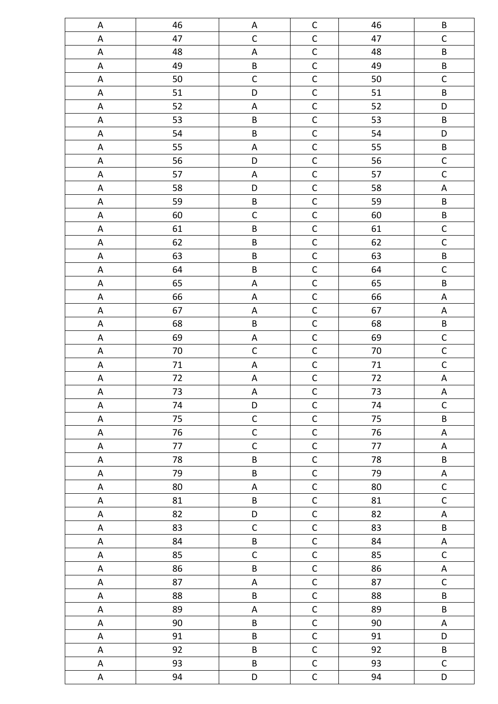| A                         | 46     | A                         | $\mathsf{C}$   | 46     | B            |
|---------------------------|--------|---------------------------|----------------|--------|--------------|
| A                         | 47     | $\mathsf C$               | $\mathsf C$    | 47     | $\mathsf C$  |
| $\sf A$                   | 48     | $\mathsf A$               | $\mathsf C$    | 48     | B            |
| A                         | 49     | $\sf B$                   | $\mathsf C$    | 49     | $\sf{B}$     |
| $\mathsf A$               | 50     | $\mathsf C$               | $\mathsf C$    | 50     | $\mathsf C$  |
| $\mathsf A$               | 51     | D                         | $\mathsf C$    | 51     | $\sf B$      |
| $\mathsf A$               | 52     | A                         | $\mathsf C$    | 52     | D            |
| $\boldsymbol{\mathsf{A}}$ | 53     | $\sf B$                   | $\mathsf C$    | 53     | B            |
| $\mathsf A$               | 54     | $\sf B$                   | $\mathsf C$    | 54     | D            |
| $\sf A$                   | 55     | A                         | $\mathsf{C}$   | 55     | $\sf B$      |
| $\sf A$                   | 56     | D                         | $\mathsf C$    | 56     | $\mathsf C$  |
| $\sf A$                   | 57     | $\mathsf A$               | $\mathsf C$    | 57     | $\mathsf C$  |
| $\sf A$                   | 58     | D                         | $\mathsf C$    | 58     | A            |
| $\mathsf A$               | 59     | $\sf B$                   | $\mathsf C$    | 59     | B            |
| $\sf A$                   | 60     | $\mathsf C$               | $\mathsf C$    | 60     | $\sf B$      |
| A                         | 61     | $\sf B$                   | $\mathsf C$    | 61     | $\mathsf C$  |
| $\sf A$                   | 62     | $\sf B$                   | $\mathsf C$    | 62     | $\mathsf{C}$ |
| A                         | 63     | $\sf B$                   | $\mathsf C$    | 63     | $\sf B$      |
| $\sf A$                   | 64     | $\sf B$                   | $\mathsf C$    | 64     | $\mathsf C$  |
| $\mathsf A$               | 65     | $\mathsf A$               | $\mathsf C$    | 65     | $\sf B$      |
| A                         | 66     | $\mathsf A$               | $\mathsf C$    | 66     | $\mathsf A$  |
| $\boldsymbol{\mathsf{A}}$ | 67     | $\boldsymbol{\mathsf{A}}$ | $\mathsf C$    | 67     | $\mathsf A$  |
| $\mathsf A$               | 68     | $\sf B$                   | $\mathsf C$    | 68     | $\sf B$      |
| $\sf A$                   | 69     | $\mathsf A$               | $\mathsf C$    | 69     | $\mathsf{C}$ |
| $\mathsf A$               | $70\,$ | $\mathsf C$               | $\mathsf C$    | 70     | $\mathsf C$  |
| A                         | 71     | A                         | $\mathsf C$    | $71\,$ | $\mathsf C$  |
| $\boldsymbol{\mathsf{A}}$ | 72     | $\mathsf A$               | $\mathsf{C}$   | 72     | $\mathsf A$  |
| $\mathsf A$               | 73     | $\boldsymbol{\mathsf{A}}$ | $\mathsf C$    | 73     | $\mathsf A$  |
| $\mathsf A$               | 74     | D                         | $\mathsf C$    | 74     | $\mathsf{C}$ |
| A                         | 75     | $\mathsf C$               | $\mathsf C$    | 75     | $\sf{B}$     |
| A                         | 76     | $\mathsf C$               | $\mathsf C$    | 76     | A            |
| A                         | 77     | $\mathsf C$               | $\mathsf C$    | 77     | A            |
| A                         | 78     | $\sf B$                   | $\mathsf C$    | 78     | B            |
| $\mathsf A$               | 79     | B                         | $\mathsf C$    | 79     | A            |
| A                         | 80     | $\boldsymbol{\mathsf{A}}$ | $\mathsf C$    | 80     | $\mathsf C$  |
| A                         | 81     | $\sf B$                   | $\mathsf C$    | 81     | $\mathsf{C}$ |
| A                         | 82     | D                         | $\mathsf C$    | 82     | A            |
| A                         | 83     | $\mathsf C$               | $\mathsf{C}$   | 83     | B            |
| A                         | 84     | $\sf B$                   | $\mathsf C$    | 84     | A            |
| A                         | 85     | $\mathsf C$               | $\mathsf C$    | 85     | $\mathsf{C}$ |
| A                         | 86     | $\sf B$                   | $\mathsf C$    | 86     | $\mathsf A$  |
| A                         | 87     | A                         | $\mathsf C$    | 87     | $\mathsf C$  |
| A                         | 88     | $\sf B$                   | $\mathsf C$    | 88     | B            |
| A                         | 89     | A                         | $\mathsf C$    | 89     | B            |
| A                         | 90     | B                         | $\mathsf C$    | 90     | A            |
| A                         | 91     | B                         | $\mathsf C$    | 91     | D            |
| A                         | 92     | $\sf{B}$                  | $\mathsf C$    | 92     | $\sf{B}$     |
| A                         | 93     | $\sf{B}$                  | $\mathsf C$    | 93     | $\mathsf C$  |
| A                         | 94     | D                         | $\overline{C}$ | 94     | D            |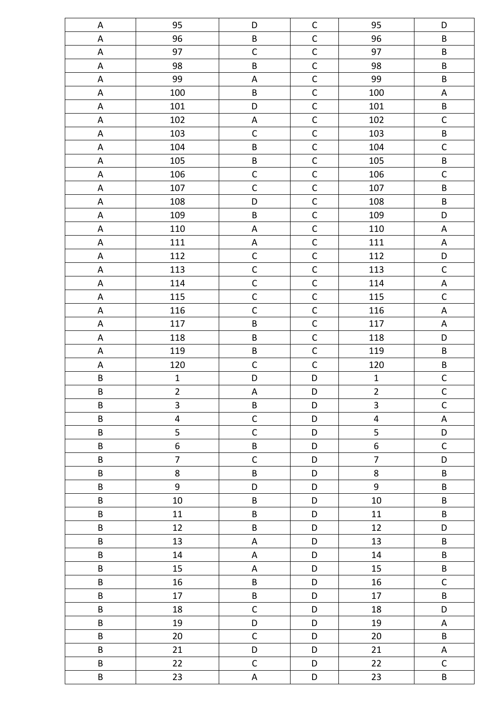| A                         | 95                      | D                         | $\mathsf C$  | 95                      | D              |
|---------------------------|-------------------------|---------------------------|--------------|-------------------------|----------------|
| $\sf A$                   | 96                      | $\sf B$                   | $\mathsf C$  | 96                      | B              |
| $\sf A$                   | 97                      | $\mathsf C$               | $\mathsf C$  | 97                      | $\sf B$        |
| A                         | 98                      | $\sf B$                   | $\mathsf C$  | 98                      | $\sf B$        |
| $\sf A$                   | 99                      | $\mathsf A$               | $\mathsf C$  | 99                      | $\sf B$        |
| $\mathsf A$               | 100                     | $\sf B$                   | $\mathsf C$  | 100                     | $\mathsf A$    |
| $\boldsymbol{\mathsf{A}}$ | 101                     | D                         | $\mathsf C$  | 101                     | $\sf B$        |
| $\mathsf A$               | 102                     | $\mathsf A$               | $\mathsf{C}$ | 102                     | $\mathsf{C}$   |
| $\mathsf A$               | 103                     | $\mathsf C$               | $\mathsf C$  | 103                     | B              |
| $\mathsf A$               | 104                     | $\sf B$                   | $\mathsf C$  | 104                     | $\mathsf C$    |
| $\mathsf A$               | 105                     | B                         | $\mathsf C$  | 105                     | $\sf B$        |
| $\mathsf A$               | 106                     | $\mathsf C$               | $\mathsf C$  | 106                     | $\mathsf C$    |
| $\mathsf A$               | 107                     | $\mathsf{C}$              | $\mathsf C$  | 107                     | B              |
| $\mathsf A$               | 108                     | D                         | $\mathsf{C}$ | 108                     | B              |
| $\mathsf A$               | 109                     | $\sf B$                   | $\mathsf C$  | 109                     | D              |
| $\mathsf A$               | 110                     | $\sf A$                   | $\mathsf C$  | 110                     | $\mathsf A$    |
| $\mathsf A$               | 111                     | $\boldsymbol{\mathsf{A}}$ | $\mathsf{C}$ | 111                     | $\mathsf A$    |
| A                         | 112                     | $\mathsf C$               | $\mathsf C$  | 112                     | D              |
| $\sf A$                   | 113                     | $\mathsf{C}$              | $\mathsf{C}$ | 113                     | $\mathsf C$    |
| $\mathsf A$               | 114                     | $\mathsf{C}$              | $\mathsf{C}$ | 114                     | $\mathsf A$    |
| $\mathsf A$               | 115                     | $\mathsf C$               | $\mathsf{C}$ | 115                     | $\mathsf{C}$   |
| $\mathsf A$               | 116                     | $\mathsf C$               | $\mathsf C$  | 116                     | $\mathsf A$    |
| A                         | 117                     | $\sf B$                   | $\mathsf C$  | 117                     | $\mathsf A$    |
| $\mathsf A$               | 118                     | $\sf B$                   | $\mathsf C$  | 118                     | D              |
| $\mathsf A$               | 119                     | B                         | $\mathsf C$  | 119                     | $\sf B$        |
| $\mathsf A$               | 120                     | $\mathsf C$               | $\mathsf C$  | 120                     | $\sf B$        |
| $\sf B$                   | $\mathbf 1$             | D                         | D            | $\mathbf 1$             | $\mathsf C$    |
| B                         | $\overline{2}$          | $\mathsf A$               | D            | $\overline{2}$          | $\mathsf{C}$   |
| $\sf B$                   | 3                       | $\sf B$                   | D            | $\overline{\mathbf{3}}$ | $\overline{C}$ |
| B                         | $\overline{\mathbf{4}}$ | $\mathsf{C}$              | D            | $\overline{4}$          | A              |
| $\sf B$                   | 5                       | $\mathsf C$               | D            | 5                       | D              |
| $\sf B$                   | $\boldsymbol{6}$        | $\sf B$                   | D            | $\boldsymbol{6}$        | $\mathsf C$    |
| $\sf B$                   | $\overline{7}$          | $\mathsf C$               | D            | $\overline{7}$          | D              |
| B                         | 8                       | B                         | D            | 8                       | B              |
| B                         | 9                       | $\mathsf D$               | D            | $9\,$                   | $\sf B$        |
| $\sf B$                   | 10                      | $\sf B$                   | D            | 10                      | B              |
| $\sf B$                   | 11                      | B                         | D            | 11                      | B              |
| $\sf B$                   | 12                      | B                         | D            | 12                      | D              |
| B                         | 13                      | A                         | D            | 13                      | B              |
| B                         | 14                      | A                         | D            | 14                      | B              |
| $\sf B$                   | 15                      | $\mathsf A$               | D            | 15                      | B              |
| $\sf B$                   | 16                      | B                         | D            | 16                      | $\mathsf C$    |
| $\sf B$                   | 17                      | $\sf B$                   | D            | 17                      | B              |
| B                         | 18                      | $\mathsf C$               | D            | 18                      | D              |
| $\sf B$                   | 19                      | D                         | D            | 19                      | A              |
| $\sf B$                   | 20                      | $\mathsf C$               | D            | 20                      | $\sf B$        |
| $\sf B$                   | 21                      | $\mathsf D$               | D            | 21                      | $\mathsf A$    |
| $\sf B$                   | 22                      | $\mathsf C$               | D            | 22                      | $\mathsf{C}$   |
| $\sf B$                   | 23                      | $\mathsf A$               | D            | 23                      | B              |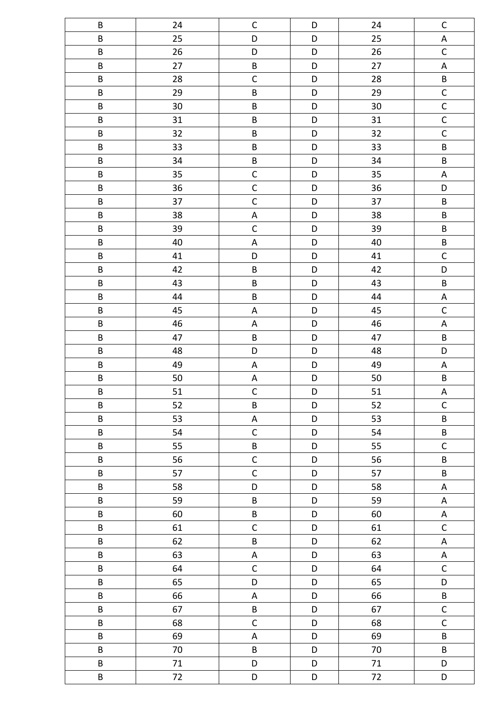| B        | 24 | $\mathsf C$  | D           | 24 | $\mathsf C$    |
|----------|----|--------------|-------------|----|----------------|
| $\sf B$  | 25 | D            | D           | 25 | $\mathsf A$    |
| $\sf B$  | 26 | D            | D           | 26 | $\mathsf C$    |
| B        | 27 | B            | D           | 27 | $\mathsf A$    |
| B        | 28 | $\mathsf C$  | D           | 28 | $\sf B$        |
| $\sf B$  | 29 | $\sf B$      | D           | 29 | $\mathsf{C}$   |
| $\sf B$  | 30 | $\sf B$      | D           | 30 | $\overline{C}$ |
| $\sf B$  | 31 | $\sf B$      | D           | 31 | $\mathsf C$    |
| $\sf B$  | 32 | $\sf{B}$     | D           | 32 | $\mathsf C$    |
| B        | 33 | $\sf B$      | D           | 33 | B              |
| $\sf B$  | 34 | $\sf B$      | D           | 34 | $\sf B$        |
| $\sf B$  | 35 | $\mathsf C$  | D           | 35 | $\mathsf A$    |
| $\sf B$  | 36 | $\mathsf C$  | D           | 36 | D              |
| $\sf B$  | 37 | $\mathsf C$  | D           | 37 | $\sf B$        |
| B        | 38 | A            | D           | 38 | B              |
| B        | 39 | $\mathsf C$  | D           | 39 | $\sf B$        |
| $\sf B$  | 40 | $\mathsf A$  | D           | 40 | $\sf B$        |
| $\sf B$  | 41 | D            | D           | 41 | $\mathsf C$    |
| $\sf B$  | 42 | $\sf B$      | D           | 42 | D              |
| B        | 43 | $\sf B$      | D           | 43 | $\sf B$        |
| $\sf B$  | 44 | $\sf B$      | D           | 44 | $\mathsf A$    |
| $\sf B$  | 45 | A            | D           | 45 | $\mathsf C$    |
| B        | 46 | A            | D           | 46 | $\mathsf A$    |
| $\sf B$  | 47 | $\sf B$      | D           | 47 | $\sf B$        |
| $\sf B$  | 48 | D            | D           | 48 | D              |
| $\sf B$  | 49 | $\mathsf A$  | D           | 49 | $\mathsf A$    |
| B        | 50 | A            | D           | 50 | $\sf B$        |
| $\sf B$  | 51 | $\mathsf{C}$ | $\mathsf D$ | 51 | $\mathsf A$    |
| $\sf B$  | 52 | $\sf B$      | D           | 52 | $\mathsf{C}$   |
| $\sf{B}$ | 53 | $\sf A$      | D           | 53 | B              |
| B        | 54 | $\mathsf C$  | D           | 54 | B              |
| $\sf{B}$ | 55 | $\sf{B}$     | D           | 55 | $\mathsf C$    |
| $\sf{B}$ | 56 | $\mathsf{C}$ | D           | 56 | B              |
| B        | 57 | $\mathsf C$  | D           | 57 | B              |
| B        | 58 | D            | D           | 58 | $\mathsf A$    |
| B        | 59 | B            | D           | 59 | A              |
| $\sf B$  | 60 | $\sf B$      | D           | 60 | $\mathsf A$    |
| $\sf{B}$ | 61 | $\mathsf C$  | D           | 61 | $\mathsf{C}$   |
| $\sf{B}$ | 62 | $\sf{B}$     | D           | 62 | $\mathsf{A}$   |
| $\sf{B}$ | 63 | $\sf A$      | D           | 63 | $\mathsf A$    |
| $\sf{B}$ | 64 | $\mathsf{C}$ | D           | 64 | $\mathsf{C}$   |
| $\sf B$  | 65 | D            | D           | 65 | D              |
| B        | 66 | $\mathsf A$  | D           | 66 | $\sf B$        |
| $\sf B$  | 67 | $\sf B$      | D           | 67 | $\mathsf{C}$   |
| $\sf B$  | 68 | $\mathsf C$  | D           | 68 | $\mathsf{C}$   |
| $\sf B$  | 69 | $\mathsf A$  | D           | 69 | $\sf{B}$       |
| B        | 70 | $\sf B$      | D           | 70 | B              |
| $\sf{B}$ | 71 | D            | D           | 71 | D              |
| $\sf B$  | 72 | D            | $\mathsf D$ | 72 | D              |